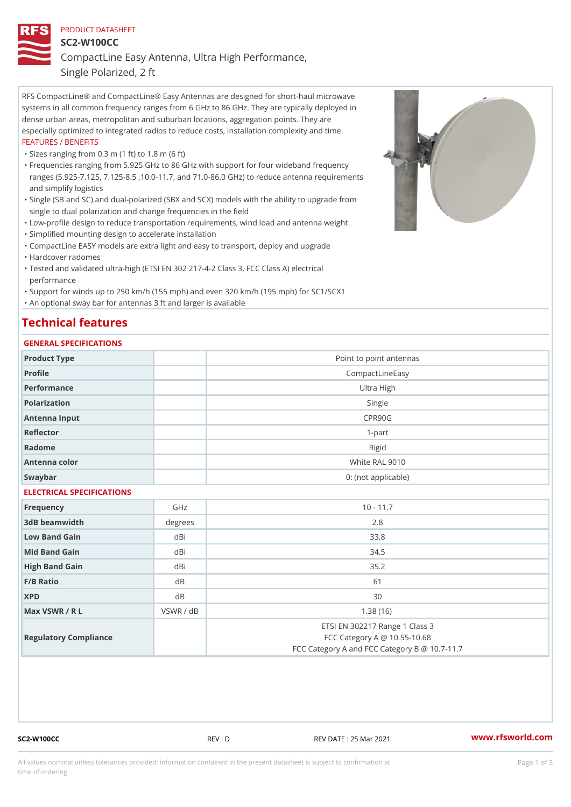## PRODUCT DATASHEET SC2-W100CC CompactLine Easy Antenna, Ultra High Performance, Single Polarized, 2 ft

RFS CompactLine® and CompactLine® Easy Antennas are designed for short-haul microwave systems in all common frequency ranges from 6 GHz to 86 GHz. They are typically deployed in dense urban areas, metropolitan and suburban locations, aggregation points. They are especially optimized to integrated radios to reduce costs, installation complexity and time. FEATURES / BENEFITS

"Sizes ranging from 0.3 m (1 ft) to 1.8 m (6 ft)

- Frequencies ranging from 5.925 GHz to 86 GHz with support for four wideband frequency " ranges (5.925-7.125, 7.125-8.5 ,10.0-11.7, and 71.0-86.0 GHz) to reduce antenna requirements and simplify logistics
- Single (SB and SC) and dual-polarized (SBX and SCX) models with the ability to upgrade from " single to dual polarization and change frequencies in the field
- "Low-profile design to reduce transportation requirements, wind load and antenna weight
- "Simplified mounting design to accelerate installation
- "CompactLine EASY models are extra light and easy to transport, deploy and upgrade "Hardcover radomes
- Tested and validated ultra-high (ETSI EN 302 217-4-2 Class 3, FCC Class A) electrical " performance
- "Support for winds up to 250 km/h (155 mph) and even 320 km/h (195 mph) for SC1/SCX1 "An optional sway bar for antennas 3 ft and larger is available

## Technical features

#### GENERAL SPECIFICATIONS

| OLIVERAL OF LOTITUATIONS  |           |                                                                                                                 |  |  |
|---------------------------|-----------|-----------------------------------------------------------------------------------------------------------------|--|--|
| Product Type              |           | Point to point antennas                                                                                         |  |  |
| Profile                   |           | CompactLineEasy                                                                                                 |  |  |
| Performance               |           | Ultra High                                                                                                      |  |  |
| Polarization              |           | Single                                                                                                          |  |  |
| Antenna Input             |           | CPR90G                                                                                                          |  |  |
| Reflector                 |           | $1 - p$ art                                                                                                     |  |  |
| Radome                    |           | Rigid                                                                                                           |  |  |
| Antenna color             |           | White RAL 9010                                                                                                  |  |  |
| Swaybar                   |           | 0: (not applicable)                                                                                             |  |  |
| ELECTRICAL SPECIFICATIONS |           |                                                                                                                 |  |  |
| Frequency                 | GHz       | $10 - 11.7$                                                                                                     |  |  |
| 3dB beamwidth             | degree    | 2.8                                                                                                             |  |  |
| Low Band Gain             | dBi       | 33.8                                                                                                            |  |  |
| Mid Band Gain             | dBi       | 34.5                                                                                                            |  |  |
| High Band Gain            | dBi       | 35.2                                                                                                            |  |  |
| $F/B$ Ratio               | $d$ B     | 61                                                                                                              |  |  |
| <b>XPD</b>                | d B       | 30                                                                                                              |  |  |
| Max VSWR / R L            | VSWR / dB | 1.38(16)                                                                                                        |  |  |
| Regulatory Compliance     |           | ETSI EN 302217 Range 1 Class 3<br>FCC Category A @ 10.55-10.68<br>FCC Category A and FCC Category B @ 10.7-11.7 |  |  |

SC2-W100CC REV : D REV DATE : 25 Mar 2021 [www.](https://www.rfsworld.com)rfsworld.com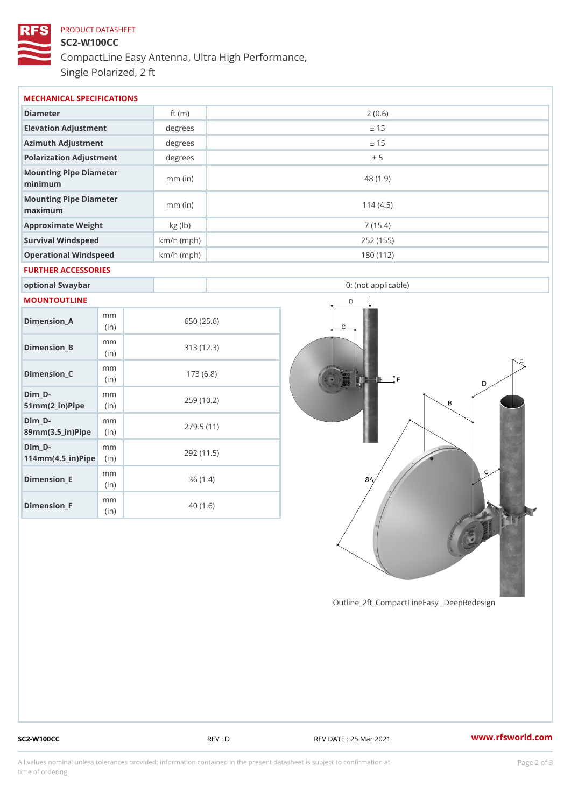# PRODUCT DATASHEET SC2-W100CC CompactLine Easy Antenna, Ultra High Performance, Single Polarized, 2 ft

| MECHANICAL SPECIFICATIONS                                                  |             |              |                     |  |  |  |  |
|----------------------------------------------------------------------------|-------------|--------------|---------------------|--|--|--|--|
| Diameter                                                                   |             | ft $(m)$     | 2(0.6)              |  |  |  |  |
| Elevation Adjustment                                                       |             | degrees      | ± 15                |  |  |  |  |
| Azimuth Adjustment                                                         |             | degree:      | ± 15                |  |  |  |  |
| Polarization Adjustment                                                    |             | degrees      | ± 5                 |  |  |  |  |
| Mounting Pipe Diameter<br>minimum                                          |             | $mm$ (in)    | 48 (1.9)            |  |  |  |  |
| Mounting Pipe Diameter<br>maximum                                          |             | $mm$ (in)    | 114(4.5)            |  |  |  |  |
| Approximate Weight                                                         |             | kg (lb)      | 7(15.4)             |  |  |  |  |
| Survival Windspeed                                                         |             | $km/h$ (mph) | 252 (155)           |  |  |  |  |
| Operational Windspeed                                                      |             | $km/h$ (mph) | 180 (112)           |  |  |  |  |
| FURTHER ACCESSORIES                                                        |             |              |                     |  |  |  |  |
| optional Swaybar                                                           |             |              | 0: (not applicable) |  |  |  |  |
| MOUNTOUTLINE                                                               |             |              |                     |  |  |  |  |
| $Dimen sion_A$                                                             | m m<br>(in) |              | 650 (25.6)          |  |  |  |  |
| Dimension_B                                                                | m m<br>(in) |              | 313(12.3)           |  |  |  |  |
| $Dimension_C$                                                              | m m<br>(in) |              | 173(6.8)            |  |  |  |  |
| $Dim_D - D -$<br>$51mm(2_in)Pip@in$                                        | m m         |              | 259 (10.2)          |  |  |  |  |
| Dim D-<br>$89$ m m $(3.5 \text{ m})$ P i(pine)                             | m m         |              | 279.5(11)           |  |  |  |  |
| $Dim_D - D -$<br>$114$ m m $(4.5$ _ i r $)$ $\mathbb{R}$ ii p $\mathbb{R}$ | m m         |              | 292 (11.5)          |  |  |  |  |
| Dimension E                                                                | m m<br>(in) |              | 36(1.4)             |  |  |  |  |

Outline\_2ft\_CompactLineEasy \_DeepRedesi

Dimension\_F

m m (in)

40 (1.6)

SC2-W100CC REV : D REV DATE : 25 Mar 2021 [www.](https://www.rfsworld.com)rfsworld.com